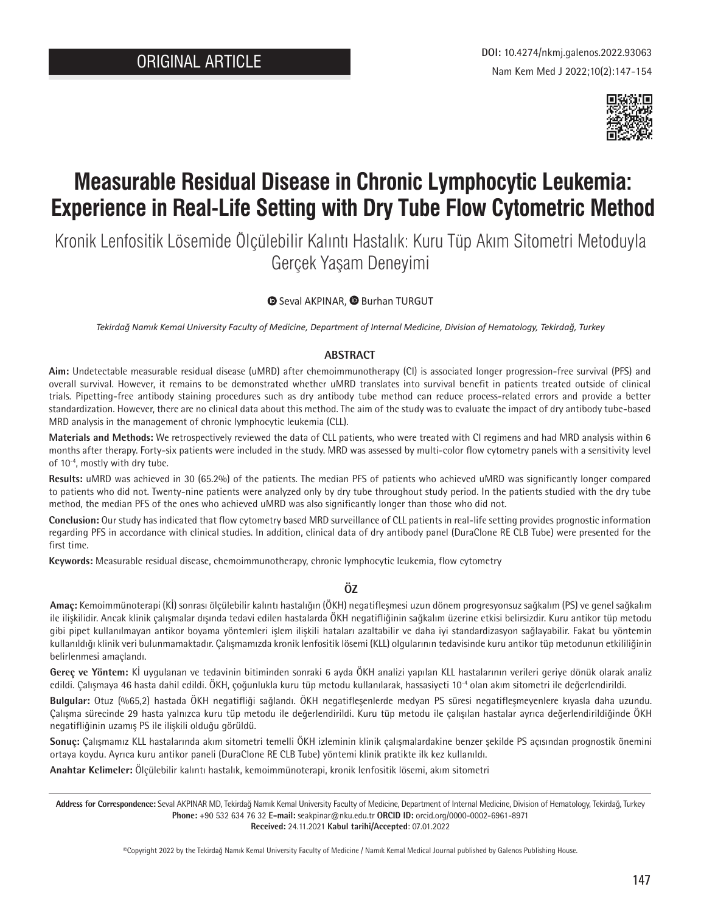

# **Measurable Residual Disease in Chronic Lymphocytic Leukemia: Experience in Real-Life Setting with Dry Tube Flow Cytometric Method**

Kronik Lenfositik Lösemide Ölçülebilir Kalıntı Hastalık: Kuru Tüp Akım Sitometri Metoduyla Gerçek Yaşam Deneyimi

### **SevalAKPINAR, <b>B** Burhan TURGUT

*Tekirdağ Namık Kemal University Faculty of Medicine, Department of Internal Medicine, Division of Hematology, Tekirdağ, Turkey*

#### **ABSTRACT**

**Aim:** Undetectable measurable residual disease (uMRD) after chemoimmunotherapy (CI) is associated longer progression-free survival (PFS) and overall survival. However, it remains to be demonstrated whether uMRD translates into survival benefit in patients treated outside of clinical trials. Pipetting-free antibody staining procedures such as dry antibody tube method can reduce process-related errors and provide a better standardization. However, there are no clinical data about this method. The aim of the study was to evaluate the impact of dry antibody tube-based MRD analysis in the management of chronic lymphocytic leukemia (CLL).

**Materials and Methods:** We retrospectively reviewed the data of CLL patients, who were treated with CI regimens and had MRD analysis within 6 months after therapy. Forty-six patients were included in the study. MRD was assessed by multi-color flow cytometry panels with a sensitivity level of 10-4, mostly with dry tube.

**Results:** uMRD was achieved in 30 (65.2%) of the patients. The median PFS of patients who achieved uMRD was significantly longer compared to patients who did not. Twenty-nine patients were analyzed only by dry tube throughout study period. In the patients studied with the dry tube method, the median PFS of the ones who achieved uMRD was also significantly longer than those who did not.

**Conclusion:** Our study has indicated that flow cytometry based MRD surveillance of CLL patients in real-life setting provides prognostic information regarding PFS in accordance with clinical studies. In addition, clinical data of dry antibody panel (DuraClone RE CLB Tube) were presented for the first time.

**Keywords:** Measurable residual disease, chemoimmunotherapy, chronic lymphocytic leukemia, flow cytometry

## **ÖZ**

**Amaç:** Kemoimmünoterapi (Kİ) sonrası ölçülebilir kalıntı hastalığın (ÖKH) negatifleşmesi uzun dönem progresyonsuz sağkalım (PS) ve genel sağkalım ile ilişkilidir. Ancak klinik çalışmalar dışında tedavi edilen hastalarda ÖKH negatifliğinin sağkalım üzerine etkisi belirsizdir. Kuru antikor tüp metodu gibi pipet kullanılmayan antikor boyama yöntemleri işlem ilişkili hataları azaltabilir ve daha iyi standardizasyon sağlayabilir. Fakat bu yöntemin kullanıldığı klinik veri bulunmamaktadır. Çalışmamızda kronik lenfositik lösemi (KLL) olgularının tedavisinde kuru antikor tüp metodunun etkililiğinin belirlenmesi amaçlandı.

**Gereç ve Yöntem:** Kİ uygulanan ve tedavinin bitiminden sonraki 6 ayda ÖKH analizi yapılan KLL hastalarının verileri geriye dönük olarak analiz edildi. Çalışmaya 46 hasta dahil edildi. ÖKH, çoğunlukla kuru tüp metodu kullanılarak, hassasiyeti 10-4 olan akım sitometri ile değerlendirildi.

**Bulgular:** Otuz (%65,2) hastada ÖKH negatifliği sağlandı. ÖKH negatifleşenlerde medyan PS süresi negatifleşmeyenlere kıyasla daha uzundu. Çalışma sürecinde 29 hasta yalnızca kuru tüp metodu ile değerlendirildi. Kuru tüp metodu ile çalışılan hastalar ayrıca değerlendirildiğinde ÖKH negatifliğinin uzamış PS ile ilişkili olduğu görüldü.

**Sonuç:** Çalışmamız KLL hastalarında akım sitometri temelli ÖKH izleminin klinik çalışmalardakine benzer şekilde PS açısından prognostik önemini ortaya koydu. Ayrıca kuru antikor paneli (DuraClone RE CLB Tube) yöntemi klinik pratikte ilk kez kullanıldı.

**Anahtar Kelimeler:** Ölçülebilir kalıntı hastalık, kemoimmünoterapi, kronik lenfositik lösemi, akım sitometri

**Address for Correspondence:** Seval AKPINAR MD, Tekirdağ Namık Kemal University Faculty of Medicine, Department of Internal Medicine, Division of Hematology, Tekirdağ, Turkey **Phone:** +90 532 634 76 32 **E-mail:** seakpinar@nku.edu.tr **ORCID ID:** orcid.org/0000-0002-6961-8971 **Received:** 24.11.2021 **Kabul tarihi/Accepted**: 07.01.2022

©Copyright 2022 by the Tekirdağ Namık Kemal University Faculty of Medicine / Namık Kemal Medical Journal published by Galenos Publishing House.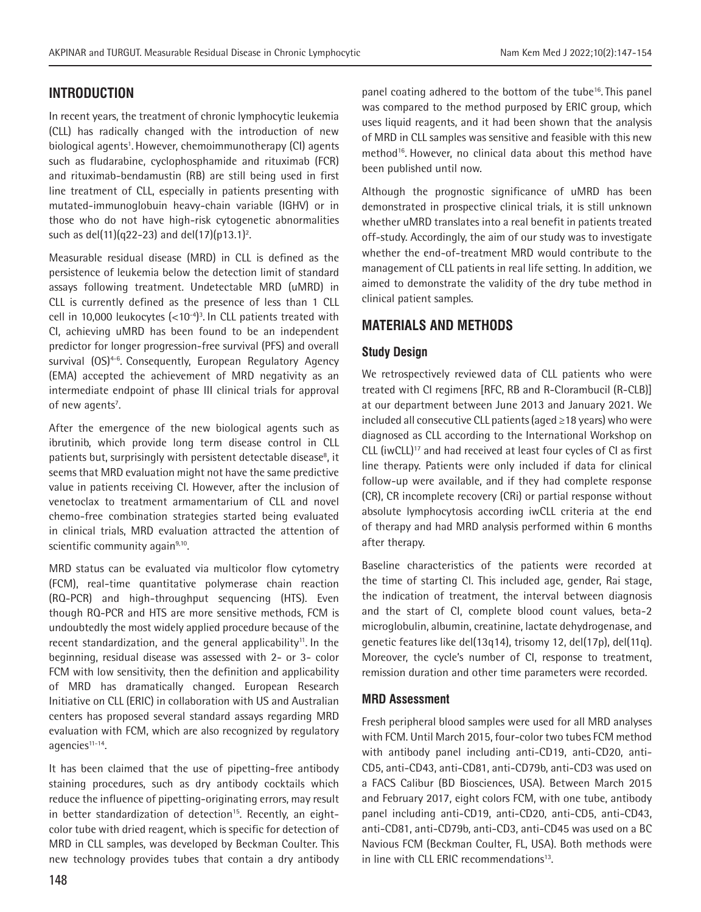## **INTRODUCTION**

In recent years, the treatment of chronic lymphocytic leukemia (CLL) has radically changed with the introduction of new biological agents<sup>1</sup>. However, chemoimmunotherapy (CI) agents such as fludarabine, cyclophosphamide and rituximab (FCR) and rituximab-bendamustin (RB) are still being used in first line treatment of CLL, especially in patients presenting with mutated-immunoglobuin heavy-chain variable (IGHV) or in those who do not have high-risk cytogenetic abnormalities such as del(11)(q22-23) and del(17)(p13.1)<sup>2</sup>.

Measurable residual disease (MRD) in CLL is defined as the persistence of leukemia below the detection limit of standard assays following treatment. Undetectable MRD (uMRD) in CLL is currently defined as the presence of less than 1 CLL cell in 10,000 leukocytes  $(<10<sup>-4</sup>)<sup>3</sup>$ . In CLL patients treated with CI, achieving uMRD has been found to be an independent predictor for longer progression-free survival (PFS) and overall survival (OS)<sup>4-6</sup>. Consequently, European Regulatory Agency (EMA) accepted the achievement of MRD negativity as an intermediate endpoint of phase III clinical trials for approval of new agents<sup>7</sup>.

After the emergence of the new biological agents such as ibrutinib, which provide long term disease control in CLL patients but, surprisingly with persistent detectable disease<sup>8</sup>, it seems that MRD evaluation might not have the same predictive value in patients receiving CI. However, after the inclusion of venetoclax to treatment armamentarium of CLL and novel chemo-free combination strategies started being evaluated in clinical trials, MRD evaluation attracted the attention of scientific community again<sup>9,10</sup>.

MRD status can be evaluated via multicolor flow cytometry (FCM), real-time quantitative polymerase chain reaction (RQ-PCR) and high-throughput sequencing (HTS). Even though RQ-PCR and HTS are more sensitive methods, FCM is undoubtedly the most widely applied procedure because of the recent standardization, and the general applicability<sup>11</sup>. In the beginning, residual disease was assessed with 2- or 3- color FCM with low sensitivity, then the definition and applicability of MRD has dramatically changed. European Research Initiative on CLL (ERIC) in collaboration with US and Australian centers has proposed several standard assays regarding MRD evaluation with FCM, which are also recognized by regulatory agencies<sup>11-14</sup>.

It has been claimed that the use of pipetting-free antibody staining procedures, such as dry antibody cocktails which reduce the influence of pipetting-originating errors, may result in better standardization of detection<sup>15</sup>. Recently, an eightcolor tube with dried reagent, which is specific for detection of MRD in CLL samples, was developed by Beckman Coulter. This new technology provides tubes that contain a dry antibody panel coating adhered to the bottom of the tube16. This panel was compared to the method purposed by ERIC group, which uses liquid reagents, and it had been shown that the analysis of MRD in CLL samples was sensitive and feasible with this new method<sup>16</sup>. However, no clinical data about this method have been published until now.

Although the prognostic significance of uMRD has been demonstrated in prospective clinical trials, it is still unknown whether uMRD translates into a real benefit in patients treated off-study. Accordingly, the aim of our study was to investigate whether the end-of-treatment MRD would contribute to the management of CLL patients in real life setting. In addition, we aimed to demonstrate the validity of the dry tube method in clinical patient samples.

# **MATERIALS AND METHODS**

## **Study Design**

We retrospectively reviewed data of CLL patients who were treated with CI regimens [RFC, RB and R-Clorambucil (R-CLB)] at our department between June 2013 and January 2021. We included all consecutive CLL patients (aged ≥18 years) who were diagnosed as CLL according to the International Workshop on CLL (iwCLL)<sup>17</sup> and had received at least four cycles of CI as first line therapy. Patients were only included if data for clinical follow-up were available, and if they had complete response (CR), CR incomplete recovery (CRi) or partial response without absolute lymphocytosis according iwCLL criteria at the end of therapy and had MRD analysis performed within 6 months after therapy.

Baseline characteristics of the patients were recorded at the time of starting CI. This included age, gender, Rai stage, the indication of treatment, the interval between diagnosis and the start of CI, complete blood count values, beta-2 microglobulin, albumin, creatinine, lactate dehydrogenase, and genetic features like del(13q14), trisomy 12, del(17p), del(11q). Moreover, the cycle's number of CI, response to treatment, remission duration and other time parameters were recorded.

## **MRD Assessment**

Fresh peripheral blood samples were used for all MRD analyses with FCM. Until March 2015, four-color two tubes FCM method with antibody panel including anti-CD19, anti-CD20, anti-CD5, anti-CD43, anti-CD81, anti-CD79b, anti-CD3 was used on a FACS Calibur (BD Biosciences, USA). Between March 2015 and February 2017, eight colors FCM, with one tube, antibody panel including anti-CD19, anti-CD20, anti-CD5, anti-CD43, anti-CD81, anti-CD79b, anti-CD3, anti-CD45 was used on a BC Navious FCM (Beckman Coulter, FL, USA). Both methods were in line with CLL ERIC recommendations<sup>13</sup>.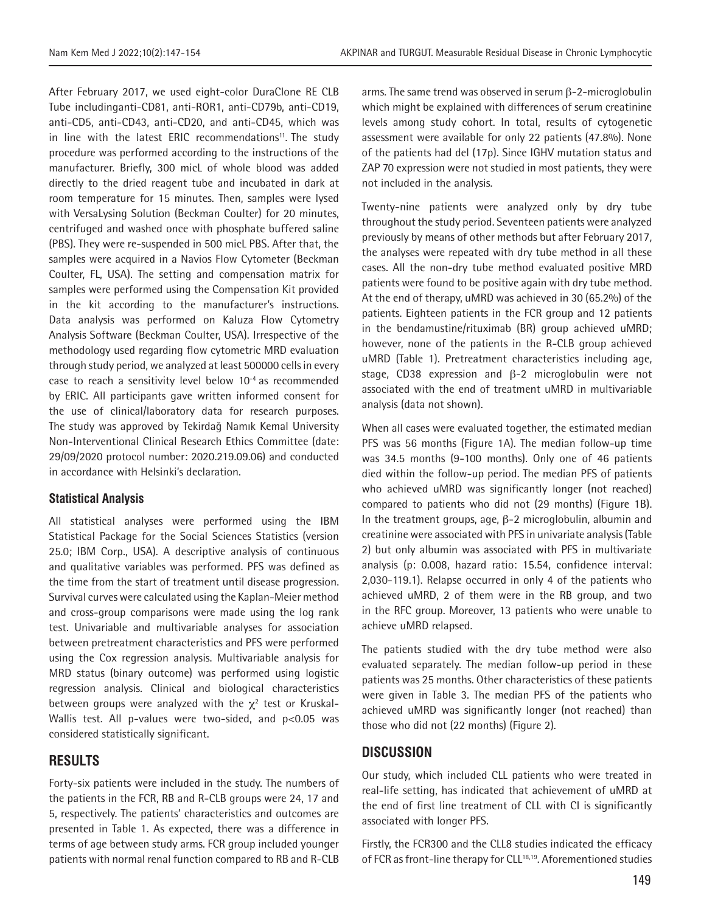After February 2017, we used eight-color DuraClone RE CLB Tube includinganti-CD81, anti-ROR1, anti-CD79b, anti-CD19, anti-CD5, anti-CD43, anti-CD20, and anti-CD45, which was in line with the latest ERIC recommendations<sup>11</sup>. The study procedure was performed according to the instructions of the manufacturer. Briefly, 300 micL of whole blood was added directly to the dried reagent tube and incubated in dark at room temperature for 15 minutes. Then, samples were lysed with VersaLysing Solution (Beckman Coulter) for 20 minutes, centrifuged and washed once with phosphate buffered saline (PBS). They were re-suspended in 500 micL PBS. After that, the samples were acquired in a Navios Flow Cytometer (Beckman Coulter, FL, USA). The setting and compensation matrix for samples were performed using the Compensation Kit provided in the kit according to the manufacturer's instructions. Data analysis was performed on Kaluza Flow Cytometry Analysis Software (Beckman Coulter, USA). Irrespective of the methodology used regarding flow cytometric MRD evaluation through study period, we analyzed at least 500000 cells in every case to reach a sensitivity level below 10-4 as recommended by ERIC. All participants gave written informed consent for the use of clinical/laboratory data for research purposes. The study was approved by Tekirdağ Namık Kemal University Non-Interventional Clinical Research Ethics Committee (date: 29/09/2020 protocol number: 2020.219.09.06) and conducted in accordance with Helsinki's declaration.

#### **Statistical Analysis**

All statistical analyses were performed using the IBM Statistical Package for the Social Sciences Statistics (version 25.0; IBM Corp., USA). A descriptive analysis of continuous and qualitative variables was performed. PFS was defined as the time from the start of treatment until disease progression. Survival curves were calculated using the Kaplan-Meier method and cross-group comparisons were made using the log rank test. Univariable and multivariable analyses for association between pretreatment characteristics and PFS were performed using the Cox regression analysis. Multivariable analysis for MRD status (binary outcome) was performed using logistic regression analysis. Clinical and biological characteristics between groups were analyzed with the  $\chi^2$  test or Kruskal-Wallis test. All p-values were two-sided, and p<0.05 was considered statistically significant.

## **RESULTS**

Forty-six patients were included in the study. The numbers of the patients in the FCR, RB and R-CLB groups were 24, 17 and 5, respectively. The patients' characteristics and outcomes are presented in Table 1. As expected, there was a difference in terms of age between study arms. FCR group included younger patients with normal renal function compared to RB and R-CLB

arms. The same trend was observed in serum β-2-microglobulin which might be explained with differences of serum creatinine levels among study cohort. In total, results of cytogenetic assessment were available for only 22 patients (47.8%). None of the patients had del (17p). Since IGHV mutation status and ZAP 70 expression were not studied in most patients, they were not included in the analysis.

Twenty-nine patients were analyzed only by dry tube throughout the study period. Seventeen patients were analyzed previously by means of other methods but after February 2017, the analyses were repeated with dry tube method in all these cases. All the non-dry tube method evaluated positive MRD patients were found to be positive again with dry tube method. At the end of therapy, uMRD was achieved in 30 (65.2%) of the patients. Eighteen patients in the FCR group and 12 patients in the bendamustine/rituximab (BR) group achieved uMRD; however, none of the patients in the R-CLB group achieved uMRD (Table 1). Pretreatment characteristics including age, stage, CD38 expression and β-2 microglobulin were not associated with the end of treatment uMRD in multivariable analysis (data not shown).

When all cases were evaluated together, the estimated median PFS was 56 months (Figure 1A). The median follow-up time was 34.5 months (9-100 months). Only one of 46 patients died within the follow-up period. The median PFS of patients who achieved uMRD was significantly longer (not reached) compared to patients who did not (29 months) (Figure 1B). In the treatment groups, age, β-2 microglobulin, albumin and creatinine were associated with PFS in univariate analysis (Table 2) but only albumin was associated with PFS in multivariate analysis (p: 0.008, hazard ratio: 15.54, confidence interval: 2,030-119.1). Relapse occurred in only 4 of the patients who achieved uMRD, 2 of them were in the RB group, and two in the RFC group. Moreover, 13 patients who were unable to achieve uMRD relapsed.

The patients studied with the dry tube method were also evaluated separately. The median follow-up period in these patients was 25 months. Other characteristics of these patients were given in Table 3. The median PFS of the patients who achieved uMRD was significantly longer (not reached) than those who did not (22 months) (Figure 2).

## **DISCUSSION**

Our study, which included CLL patients who were treated in real-life setting, has indicated that achievement of uMRD at the end of first line treatment of CLL with CI is significantly associated with longer PFS.

Firstly, the FCR300 and the CLL8 studies indicated the efficacy of FCR as front-line therapy for CLL<sup>18,19</sup>. Aforementioned studies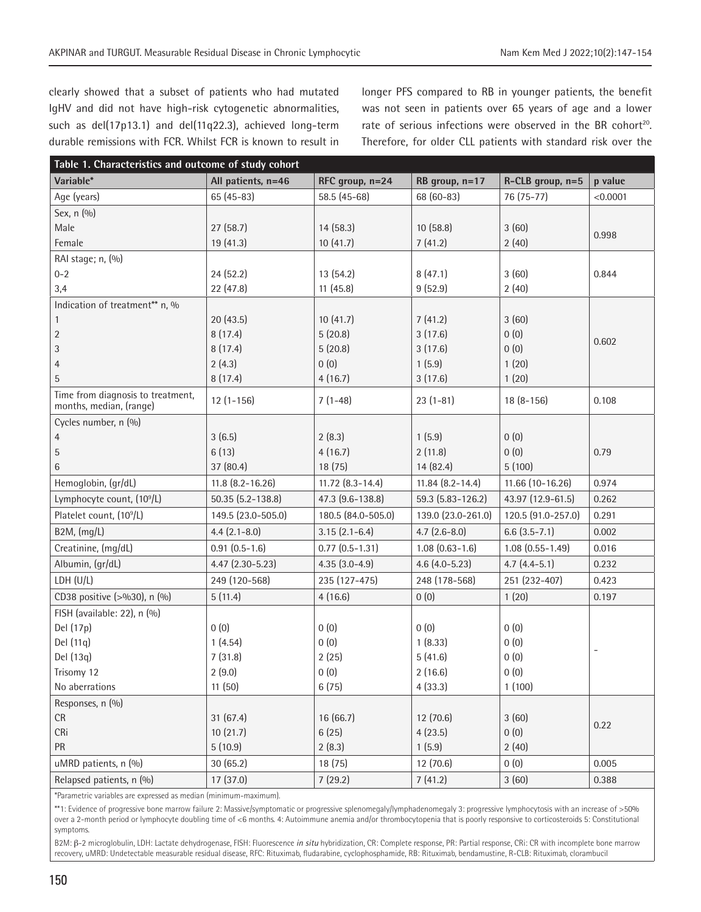clearly showed that a subset of patients who had mutated IgHV and did not have high-risk cytogenetic abnormalities, such as del(17p13.1) and del(11q22.3), achieved long-term durable remissions with FCR. Whilst FCR is known to result in

longer PFS compared to RB in younger patients, the benefit was not seen in patients over 65 years of age and a lower rate of serious infections were observed in the BR cohort<sup>20</sup>. Therefore, for older CLL patients with standard risk over the

| Table 1. Characteristics and outcome of study cohort         |                    |                        |                     |                     |          |  |  |
|--------------------------------------------------------------|--------------------|------------------------|---------------------|---------------------|----------|--|--|
| Variable*                                                    | All patients, n=46 | RFC group, n=24        | RB group, n=17      | R-CLB group, n=5    | p value  |  |  |
| Age (years)                                                  | $65(45-83)$        | 58.5 (45-68)           | 68 (60-83)          | 76 (75-77)          | < 0.0001 |  |  |
| Sex, n (%)                                                   |                    |                        |                     |                     |          |  |  |
| Male                                                         | 27(58.7)           | 14(58.3)               | 10(58.8)            | 3(60)               | 0.998    |  |  |
| Female                                                       | 19 (41.3)          | 10(41.7)               | 7(41.2)             | 2(40)               |          |  |  |
| RAI stage; n, (%)                                            |                    |                        |                     |                     |          |  |  |
| $0 - 2$                                                      | 24 (52.2)          | 13(54.2)               | 8(47.1)             | 3(60)               | 0.844    |  |  |
| 3,4                                                          | 22 (47.8)          | 11(45.8)               | 9(52.9)             | 2(40)               |          |  |  |
| Indication of treatment** n, %                               |                    |                        |                     |                     |          |  |  |
| $\mathbf{1}$                                                 | 20(43.5)           | 10(41.7)               | 7(41.2)             | 3(60)               |          |  |  |
| $\sqrt{2}$                                                   | 8(17.4)            | 5(20.8)                | 3(17.6)             | 0(0)                | 0.602    |  |  |
| 3                                                            | 8(17.4)            | 5(20.8)                | 3(17.6)             | 0(0)                |          |  |  |
| $\overline{4}$                                               | 2(4.3)             | 0(0)                   | 1(5.9)              | 1(20)               |          |  |  |
| 5                                                            | 8(17.4)            | 4(16.7)                | 3(17.6)             | 1(20)               |          |  |  |
| Time from diagnosis to treatment,<br>months, median, (range) | $12(1-156)$        | $7(1-48)$              | $23(1-81)$          | $18(8-156)$         | 0.108    |  |  |
| Cycles number, n (%)                                         |                    |                        |                     |                     |          |  |  |
| $\overline{4}$                                               | 3(6.5)             | 2(8.3)                 | 1(5.9)              | 0(0)                |          |  |  |
| 5                                                            | 6(13)              | 4(16.7)                | 2(11.8)             | 0(0)                | 0.79     |  |  |
| $6\phantom{1}6$                                              | 37 (80.4)          | 18 (75)                | 14 (82.4)           | 5(100)              |          |  |  |
| Hemoglobin, (gr/dL)                                          | 11.8 (8.2-16.26)   | $11.72$ $(8.3 - 14.4)$ | $11.84(8.2 - 14.4)$ | 11.66 (10-16.26)    | 0.974    |  |  |
| Lymphocyte count, (10 <sup>9</sup> /L)                       | 50.35 (5.2-138.8)  | 47.3 (9.6-138.8)       | 59.3 (5.83-126.2)   | 43.97 (12.9-61.5)   | 0.262    |  |  |
| Platelet count, (10 <sup>9</sup> /L)                         | 149.5 (23.0-505.0) | 180.5 (84.0-505.0)     | 139.0 (23.0-261.0)  | 120.5 (91.0-257.0)  | 0.291    |  |  |
| B2M, (mg/L)                                                  | $4.4(2.1 - 8.0)$   | $3.15(2.1-6.4)$        | $4.7(2.6-8.0)$      | $6.6$ $(3.5 - 7.1)$ | 0.002    |  |  |
| Creatinine, (mg/dL)                                          | $0.91(0.5-1.6)$    | $0.77$ $(0.5 - 1.31)$  | $1.08(0.63 - 1.6)$  | $1.08(0.55 - 1.49)$ | 0.016    |  |  |
| Albumin, (gr/dL)                                             | 4.47 (2.30-5.23)   | $4.35(3.0-4.9)$        | $4.6$ (4.0-5.23)    | $4.7(4.4-5.1)$      | 0.232    |  |  |
| LDH (U/L)                                                    | 249 (120-568)      | 235 (127-475)          | 248 (178-568)       | 251 (232-407)       | 0.423    |  |  |
| CD38 positive (>%30), n (%)                                  | 5(11.4)            | 4(16.6)                | 0(0)                | 1(20)               | 0.197    |  |  |
| FISH (available: 22), n (%)                                  |                    |                        |                     |                     |          |  |  |
| Del (17p)                                                    | 0(0)               | 0(0)                   | 0(0)                | 0(0)                |          |  |  |
| Del (11q)                                                    | 1(4.54)            | 0(0)                   | 1(8.33)             | 0(0)                |          |  |  |
| Del (13q)                                                    | 7(31.8)            | 2(25)                  | 5(41.6)             | 0(0)                |          |  |  |
| Trisomy 12                                                   | 2(9.0)             | 0(0)                   | 2(16.6)             | 0(0)                |          |  |  |
| No aberrations                                               | 11(50)             | 6(75)                  | 4(33.3)             | 1(100)              |          |  |  |
| Responses, n (%)                                             |                    |                        |                     |                     |          |  |  |
| CR                                                           | 31 (67.4)          | 16 (66.7)              | 12 (70.6)           | 3(60)               | 0.22     |  |  |
| CRi                                                          | 10(21.7)           | 6(25)                  | 4(23.5)             | 0(0)                |          |  |  |
| PR                                                           | 5(10.9)            | 2(8.3)                 | 1(5.9)              | 2(40)               |          |  |  |
| uMRD patients, n (%)                                         | 30(65.2)           | 18 (75)                | 12 (70.6)           | 0(0)                | 0.005    |  |  |
| Relapsed patients, n (%)                                     | 17 (37.0)          | 7(29.2)                | 7(41.2)             | 3(60)               | 0.388    |  |  |

\*Parametric variables are expressed as median (minimum-maximum).

\*\*1: Evidence of progressive bone marrow failure 2: Massive/symptomatic or progressive splenomegaly/lymphadenomegaly 3: progressive lymphocytosis with an increase of >50% over a 2-month period or lymphocyte doubling time of <6 months. 4: Autoimmune anemia and/or thrombocytopenia that is poorly responsive to corticosteroids 5: Constitutional symptoms.

B2M: β-2 microglobulin, LDH: Lactate dehydrogenase, FISH: Fluorescence *in situ* hybridization, CR: Complete response, PR: Partial response, CRi: CR with incomplete bone marrow recovery, uMRD: Undetectable measurable residual disease, RFC: Rituximab, fludarabine, cyclophosphamide, RB: Rituximab, bendamustine, R-CLB: Rituximab, clorambucil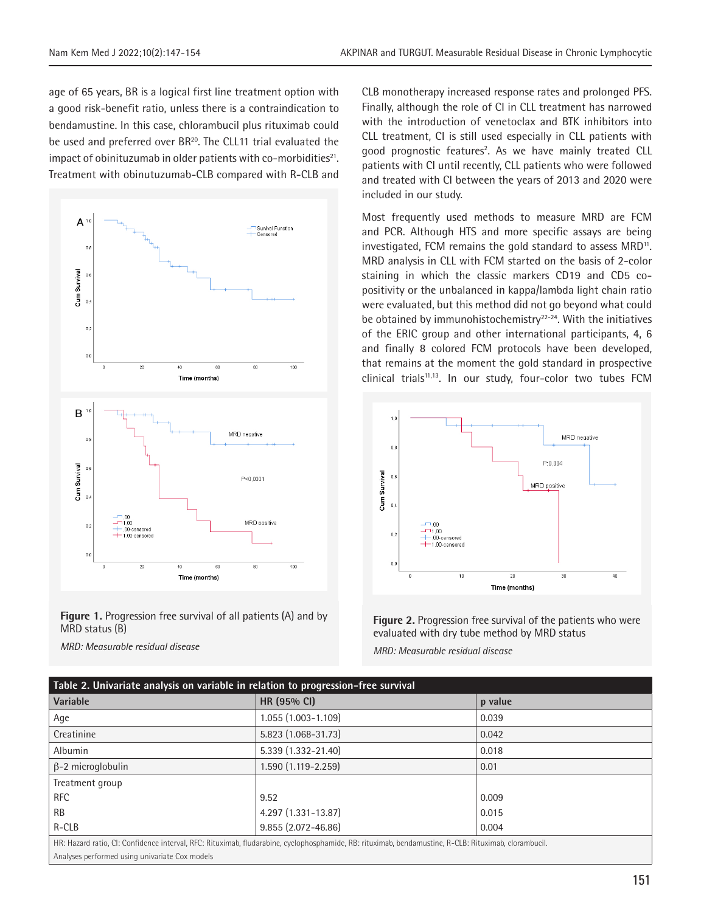age of 65 years, BR is a logical first line treatment option with a good risk-benefit ratio, unless there is a contraindication to bendamustine. In this case, chlorambucil plus rituximab could be used and preferred over BR<sup>20</sup>. The CLL11 trial evaluated the impact of obinituzumab in older patients with co-morbidities $21$ . Treatment with obinutuzumab-CLB compared with R-CLB and



**Figure 1.** Progression free survival of all patients (A) and by MRD status (B)

*MRD: Measurable residual disease*

CLB monotherapy increased response rates and prolonged PFS. Finally, although the role of CI in CLL treatment has narrowed with the introduction of venetoclax and BTK inhibitors into CLL treatment, CI is still used especially in CLL patients with good prognostic features<sup>2</sup>. As we have mainly treated CLL patients with CI until recently, CLL patients who were followed and treated with CI between the years of 2013 and 2020 were included in our study.

Most frequently used methods to measure MRD are FCM and PCR. Although HTS and more specific assays are being investigated, FCM remains the gold standard to assess MRD<sup>11</sup>. MRD analysis in CLL with FCM started on the basis of 2-color staining in which the classic markers CD19 and CD5 copositivity or the unbalanced in kappa/lambda light chain ratio were evaluated, but this method did not go beyond what could be obtained by immunohistochemistry<sup>22-24</sup>. With the initiatives of the ERIC group and other international participants, 4, 6 and finally 8 colored FCM protocols have been developed, that remains at the moment the gold standard in prospective clinical trials<sup>11,13</sup>. In our study, four-color two tubes FCM



**Figure 2.** Progression free survival of the patients who were evaluated with dry tube method by MRD status

*MRD: Measurable residual disease*

| Table 2. Univariate analysis on variable in relation to progression-free survival                                                                     |                        |         |  |  |  |
|-------------------------------------------------------------------------------------------------------------------------------------------------------|------------------------|---------|--|--|--|
| Variable                                                                                                                                              | HR (95% CI)            | p value |  |  |  |
| Age                                                                                                                                                   | 1.055 (1.003-1.109)    | 0.039   |  |  |  |
| Creatinine                                                                                                                                            | 5.823 (1.068-31.73)    | 0.042   |  |  |  |
| Albumin                                                                                                                                               | 5.339 (1.332-21.40)    | 0.018   |  |  |  |
| $\beta$ -2 microglobulin                                                                                                                              | 1.590 (1.119-2.259)    | 0.01    |  |  |  |
| Treatment group                                                                                                                                       |                        |         |  |  |  |
| <b>RFC</b>                                                                                                                                            | 9.52                   | 0.009   |  |  |  |
| <b>RB</b>                                                                                                                                             | $4.297(1.331 - 13.87)$ | 0.015   |  |  |  |
| $R-CLB$                                                                                                                                               | 9.855 (2.072-46.86)    | 0.004   |  |  |  |
| HR: Hazard ratio, CI: Confidence interval, RFC: Rituximab, fludarabine, cyclophosphamide, RB: rituximab, bendamustine, R-CLB: Rituximab, clorambucil. |                        |         |  |  |  |

Analyses performed using univariate Cox models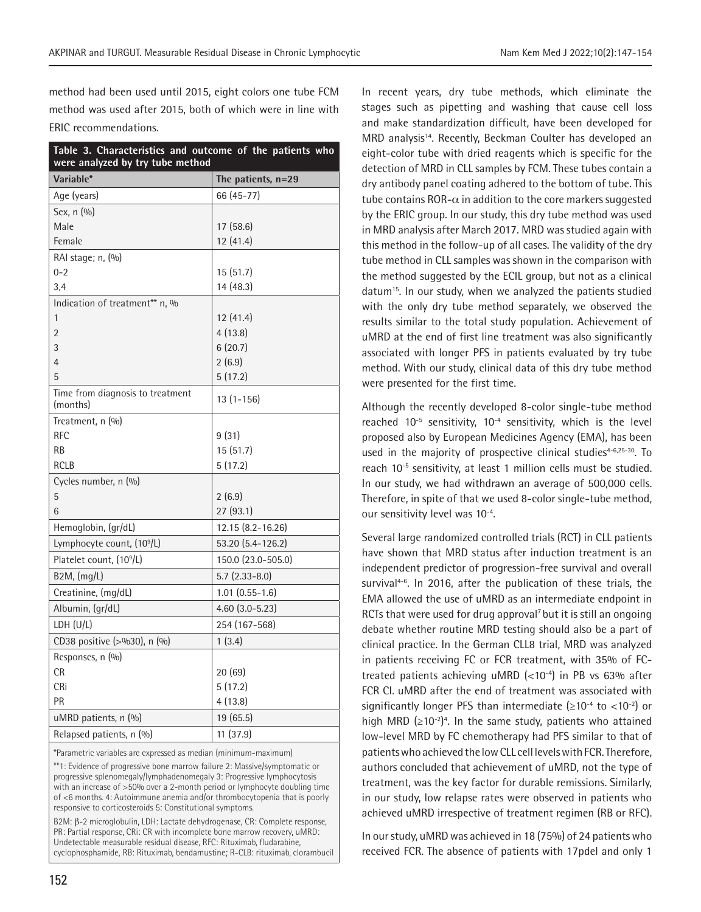method had been used until 2015, eight colors one tube FCM method was used after 2015, both of which were in line with ERIC recommendations.

| Table 3. Characteristics and outcome of the patients who<br>were analyzed by try tube method |                       |  |  |  |
|----------------------------------------------------------------------------------------------|-----------------------|--|--|--|
| Variable*                                                                                    | The patients, n=29    |  |  |  |
| Age (years)                                                                                  | 66 (45-77)            |  |  |  |
| Sex, n (%)                                                                                   |                       |  |  |  |
| Male                                                                                         | 17 (58.6)             |  |  |  |
| Female                                                                                       | 12(41.4)              |  |  |  |
| RAI stage; n, (%)                                                                            |                       |  |  |  |
| $0 - 2$                                                                                      | 15(51.7)              |  |  |  |
| 3,4                                                                                          | 14 (48.3)             |  |  |  |
| Indication of treatment** n, %                                                               |                       |  |  |  |
| 1                                                                                            | 12 (41.4)             |  |  |  |
| $\overline{2}$                                                                               | 4(13.8)               |  |  |  |
| 3                                                                                            | 6(20.7)               |  |  |  |
| $\overline{4}$                                                                               | 2(6.9)                |  |  |  |
| 5                                                                                            | 5(17.2)               |  |  |  |
| Time from diagnosis to treatment<br>(months)                                                 | $13(1 - 156)$         |  |  |  |
| Treatment, n (%)                                                                             |                       |  |  |  |
| <b>RFC</b>                                                                                   | 9(31)                 |  |  |  |
| <b>RB</b>                                                                                    | 15(51.7)              |  |  |  |
| <b>RCLB</b>                                                                                  | 5(17.2)               |  |  |  |
| Cycles number, n (%)                                                                         |                       |  |  |  |
| 5                                                                                            | 2(6.9)                |  |  |  |
| 6                                                                                            | 27 (93.1)             |  |  |  |
| Hemoglobin, (gr/dL)                                                                          | 12.15 (8.2-16.26)     |  |  |  |
| Lymphocyte count, (10 <sup>9</sup> /L)                                                       | 53.20 (5.4-126.2)     |  |  |  |
| Platelet count, (10 <sup>9</sup> /L)                                                         | 150.0 (23.0-505.0)    |  |  |  |
| $B2M$ , $(mg/L)$                                                                             | $5.7(2.33 - 8.0)$     |  |  |  |
| Creatinine, (mg/dL)                                                                          | $1.01$ $(0.55 - 1.6)$ |  |  |  |
| Albumin, (gr/dL)                                                                             | 4.60 (3.0-5.23)       |  |  |  |
| LDH (U/L)                                                                                    | 254 (167-568)         |  |  |  |
| CD38 positive (>%30), n (%)                                                                  | 1(3.4)                |  |  |  |
| Responses, n (%)                                                                             |                       |  |  |  |
| <b>CR</b>                                                                                    | 20 (69)               |  |  |  |
| CRi                                                                                          | 5(17.2)               |  |  |  |
| PR                                                                                           | 4(13.8)               |  |  |  |
| uMRD patients, n (%)                                                                         | 19 (65.5)             |  |  |  |
| Relapsed patients, n (%)                                                                     | 11(37.9)              |  |  |  |

\*Parametric variables are expressed as median (minimum-maximum)

\*\*1: Evidence of progressive bone marrow failure 2: Massive/symptomatic or progressive splenomegaly/lymphadenomegaly 3: Progressive lymphocytosis with an increase of >50% over a 2-month period or lymphocyte doubling time of <6 months. 4: Autoimmune anemia and/or thrombocytopenia that is poorly responsive to corticosteroids 5: Constitutional symptoms.

B2M: β-2 microglobulin, LDH: Lactate dehydrogenase, CR: Complete response, PR: Partial response, CRi: CR with incomplete bone marrow recovery, uMRD: Undetectable measurable residual disease, RFC: Rituximab, fludarabine, cyclophosphamide, RB: Rituximab, bendamustine; R-CLB: rituximab, clorambucil In recent years, dry tube methods, which eliminate the stages such as pipetting and washing that cause cell loss and make standardization difficult, have been developed for MRD analysis<sup>14</sup>. Recently, Beckman Coulter has developed an eight-color tube with dried reagents which is specific for the detection of MRD in CLL samples by FCM. These tubes contain a dry antibody panel coating adhered to the bottom of tube. This tube contains ROR- $\alpha$  in addition to the core markers suggested by the ERIC group. In our study, this dry tube method was used in MRD analysis after March 2017. MRD was studied again with this method in the follow-up of all cases. The validity of the dry tube method in CLL samples was shown in the comparison with the method suggested by the ECIL group, but not as a clinical datum<sup>15</sup>. In our study, when we analyzed the patients studied with the only dry tube method separately, we observed the results similar to the total study population. Achievement of uMRD at the end of first line treatment was also significantly associated with longer PFS in patients evaluated by try tube method. With our study, clinical data of this dry tube method were presented for the first time.

Although the recently developed 8-color single-tube method reached 10-5 sensitivity, 10-4 sensitivity, which is the level proposed also by European Medicines Agency (EMA), has been used in the majority of prospective clinical studies $4-6,25-30$ . To reach 10-5 sensitivity, at least 1 million cells must be studied. In our study, we had withdrawn an average of 500,000 cells. Therefore, in spite of that we used 8-color single-tube method, our sensitivity level was 10-4.

Several large randomized controlled trials (RCT) in CLL patients have shown that MRD status after induction treatment is an independent predictor of progression-free survival and overall survival<sup>4-6</sup>. In 2016, after the publication of these trials, the EMA allowed the use of uMRD as an intermediate endpoint in RCTs that were used for drug approval<sup>7</sup> but it is still an ongoing debate whether routine MRD testing should also be a part of clinical practice. In the German CLL8 trial, MRD was analyzed in patients receiving FC or FCR treatment, with 35% of FCtreated patients achieving uMRD (<10-4) in PB vs 63% after FCR CI. uMRD after the end of treatment was associated with significantly longer PFS than intermediate ( $\geq 10^{-4}$  to <10<sup>-2</sup>) or high MRD  $(≥10<sup>-2</sup>)<sup>4</sup>$ . In the same study, patients who attained low-level MRD by FC chemotherapy had PFS similar to that of patients who achieved the low CLL cell levels with FCR. Therefore, authors concluded that achievement of uMRD, not the type of treatment, was the key factor for durable remissions. Similarly, in our study, low relapse rates were observed in patients who achieved uMRD irrespective of treatment regimen (RB or RFC).

In our study, uMRD was achieved in 18 (75%) of 24 patients who received FCR. The absence of patients with 17pdel and only 1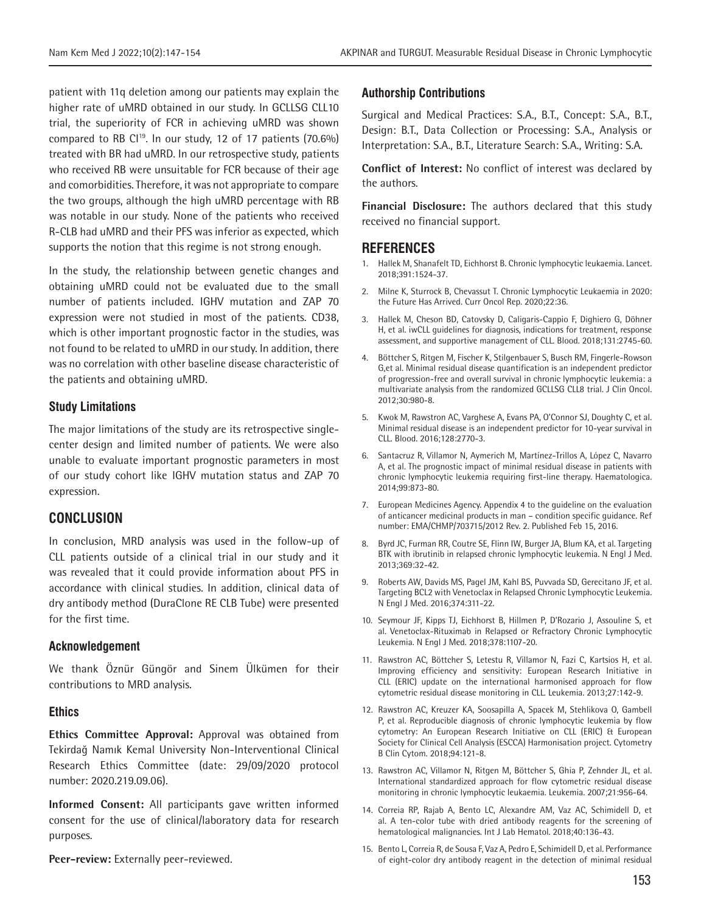patient with 11q deletion among our patients may explain the higher rate of uMRD obtained in our study. In GCLLSG CLL10 trial, the superiority of FCR in achieving uMRD was shown compared to RB Cl<sup>19</sup>. In our study, 12 of 17 patients  $(70.6\%)$ treated with BR had uMRD. In our retrospective study, patients who received RB were unsuitable for FCR because of their age and comorbidities. Therefore, it was not appropriate to compare the two groups, although the high uMRD percentage with RB was notable in our study. None of the patients who received R-CLB had uMRD and their PFS was inferior as expected, which supports the notion that this regime is not strong enough.

In the study, the relationship between genetic changes and obtaining uMRD could not be evaluated due to the small number of patients included. IGHV mutation and ZAP 70 expression were not studied in most of the patients. CD38, which is other important prognostic factor in the studies, was not found to be related to uMRD in our study. In addition, there was no correlation with other baseline disease characteristic of the patients and obtaining uMRD.

#### **Study Limitations**

The major limitations of the study are its retrospective singlecenter design and limited number of patients. We were also unable to evaluate important prognostic parameters in most of our study cohort like IGHV mutation status and ZAP 70 expression.

## **CONCLUSION**

In conclusion, MRD analysis was used in the follow-up of CLL patients outside of a clinical trial in our study and it was revealed that it could provide information about PFS in accordance with clinical studies. In addition, clinical data of dry antibody method (DuraClone RE CLB Tube) were presented for the first time.

#### **Acknowledgement**

We thank Öznür Güngör and Sinem Ülkümen for their contributions to MRD analysis.

#### **Ethics**

**Ethics Committee Approval:** Approval was obtained from Tekirdağ Namık Kemal University Non-Interventional Clinical Research Ethics Committee (date: 29/09/2020 protocol number: 2020.219.09.06).

**Informed Consent:** All participants gave written informed consent for the use of clinical/laboratory data for research purposes.

**Peer-review:** Externally peer-reviewed.

#### **Authorship Contributions**

Surgical and Medical Practices: S.A., B.T., Concept: S.A., B.T., Design: B.T., Data Collection or Processing: S.A., Analysis or Interpretation: S.A., B.T., Literature Search: S.A., Writing: S.A.

**Conflict of Interest:** No conflict of interest was declared by the authors.

**Financial Disclosure:** The authors declared that this study received no financial support.

#### **REFERENCES**

- 1. Hallek M, Shanafelt TD, Eichhorst B. Chronic lymphocytic leukaemia. Lancet. 2018;391:1524-37.
- 2. Milne K, Sturrock B, Chevassut T. Chronic Lymphocytic Leukaemia in 2020: the Future Has Arrived. Curr Oncol Rep. 2020;22:36.
- 3. Hallek M, Cheson BD, Catovsky D, Caligaris-Cappio F, Dighiero G, Döhner H, et al. iwCLL guidelines for diagnosis, indications for treatment, response assessment, and supportive management of CLL. Blood. 2018;131:2745-60.
- 4. Böttcher S, Ritgen M, Fischer K, Stilgenbauer S, Busch RM, Fingerle-Rowson G,et al. Minimal residual disease quantification is an independent predictor of progression-free and overall survival in chronic lymphocytic leukemia: a multivariate analysis from the randomized GCLLSG CLL8 trial. J Clin Oncol. 2012;30:980-8.
- 5. Kwok M, Rawstron AC, Varghese A, Evans PA, O'Connor SJ, Doughty C, et al. Minimal residual disease is an independent predictor for 10-year survival in CLL. Blood. 2016;128:2770-3.
- 6. Santacruz R, Villamor N, Aymerich M, Martínez-Trillos A, López C, Navarro A, et al. The prognostic impact of minimal residual disease in patients with chronic lymphocytic leukemia requiring first-line therapy. Haematologica. 2014;99:873-80.
- 7. European Medicines Agency. Appendix 4 to the guideline on the evaluation of anticancer medicinal products in man – condition specific guidance. Ref number: EMA/CHMP/703715/2012 Rev. 2. Published Feb 15, 2016.
- 8. Byrd JC, Furman RR, Coutre SE, Flinn IW, Burger JA, Blum KA, et al. Targeting BTK with ibrutinib in relapsed chronic lymphocytic leukemia. N Engl J Med. 2013;369:32-42.
- 9. Roberts AW, Davids MS, Pagel JM, Kahl BS, Puvvada SD, Gerecitano JF, et al. Targeting BCL2 with Venetoclax in Relapsed Chronic Lymphocytic Leukemia. N Engl J Med. 2016;374:311-22.
- 10. Seymour JF, Kipps TJ, Eichhorst B, Hillmen P, D'Rozario J, Assouline S, et al. Venetoclax-Rituximab in Relapsed or Refractory Chronic Lymphocytic Leukemia. N Engl J Med. 2018;378:1107-20.
- 11. Rawstron AC, Böttcher S, Letestu R, Villamor N, Fazi C, Kartsios H, et al. Improving efficiency and sensitivity: European Research Initiative in CLL (ERIC) update on the international harmonised approach for flow cytometric residual disease monitoring in CLL. Leukemia. 2013;27:142-9.
- 12. Rawstron AC, Kreuzer KA, Soosapilla A, Spacek M, Stehlikova O, Gambell P, et al. Reproducible diagnosis of chronic lymphocytic leukemia by flow cytometry: An European Research Initiative on CLL (ERIC) & European Society for Clinical Cell Analysis (ESCCA) Harmonisation project. Cytometry B Clin Cytom. 2018;94:121-8.
- 13. Rawstron AC, Villamor N, Ritgen M, Böttcher S, Ghia P, Zehnder JL, et al. International standardized approach for flow cytometric residual disease monitoring in chronic lymphocytic leukaemia. Leukemia. 2007;21:956-64.
- 14. Correia RP, Rajab A, Bento LC, Alexandre AM, Vaz AC, Schimidell D, et al. A ten-color tube with dried antibody reagents for the screening of hematological malignancies. Int J Lab Hematol. 2018;40:136-43.
- 15. Bento L, Correia R, de Sousa F, Vaz A, Pedro E, Schimidell D, et al. Performance of eight-color dry antibody reagent in the detection of minimal residual